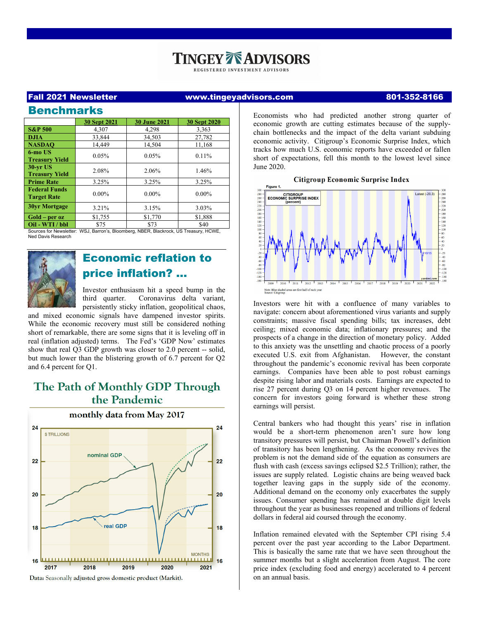# **ZE ADVISORS**

REGISTERED INVESTMENT ADVISORS

## Fall 2021 Newsletter www.tingeyadvisors.com 801-352-8166

| <b>Benchmarks</b>                          |                     |                     |              |
|--------------------------------------------|---------------------|---------------------|--------------|
|                                            | <b>30 Sept 2021</b> | <b>30 June 2021</b> | 30 Sept 2020 |
| <b>S&amp;P 500</b>                         | 4.307               | 4.298               | 3,363        |
| <b>DJIA</b>                                | 33.844              | 34.503              | 27.782       |
| <b>NASDAO</b>                              | 14.449              | 14,504              | 11,168       |
| 6-mo US<br><b>Treasury Yield</b>           | 0.05%               | 0.05%               | 0.11%        |
| <b>30-vr US</b><br><b>Treasury Yield</b>   | 2.08%               | 2.06%               | 1.46%        |
| <b>Prime Rate</b>                          | 3.25%               | 3.25%               | 3.25%        |
| <b>Federal Funds</b><br><b>Target Rate</b> | $0.00\%$            | $0.00\%$            | $0.00\%$     |
| <b>30yr Mortgage</b>                       | 3.21%               | 3.15%               | 3.03%        |
| $Gold-per oz$                              | \$1,755             | \$1,770             | \$1,888      |
| $O(1)$ <b>TTIME (11)</b>                   | $\triangle$         | 0.72                | $^{\wedge}$  |

**Oil - WTI / bbl**<br>Sources for Newsletter WSJ, Barron's, Bloomberg, NBER, Blackrock, US Treasury, HCWE Ned Davis Research



# Economic reflation to price inflation? …

Investor enthusiasm hit a speed bump in the third quarter. Coronavirus delta variant, persistently sticky inflation, geopolitical chaos,

and mixed economic signals have dampened investor spirits. While the economic recovery must still be considered nothing short of remarkable, there are some signs that it is leveling off in real (inflation adjusted) terms. The Fed's 'GDP Now' estimates show that real Q3 GDP growth was closer to 2.0 percent -- solid, but much lower than the blistering growth of 6.7 percent for Q2 and 6.4 percent for Q1.

## The Path of Monthly GDP Through the Pandemic



monthly data from May 2017

Economists who had predicted another strong quarter of economic growth are cutting estimates because of the supplychain bottlenecks and the impact of the delta variant subduing economic activity. Citigroup's Economic Surprise Index, which tracks how much U.S. economic reports have exceeded or fallen short of expectations, fell this month to the lowest level since June 2020.

#### **Citigroup Economic Surprise Index**



Investors were hit with a confluence of many variables to navigate: concern about aforementioned virus variants and supply constraints; massive fiscal spending bills; tax increases, debt ceiling; mixed economic data; inflationary pressures; and the prospects of a change in the direction of monetary policy. Added to this anxiety was the unsettling and chaotic process of a poorly executed U.S. exit from Afghanistan. However, the constant throughout the pandemic's economic revival has been corporate earnings. Companies have been able to post robust earnings despite rising labor and materials costs. Earnings are expected to rise 27 percent during Q3 on 14 percent higher revenues. The concern for investors going forward is whether these strong earnings will persist.

Central bankers who had thought this years' rise in inflation would be a short-term phenomenon aren't sure how long transitory pressures will persist, but Chairman Powell's definition of transitory has been lengthening. As the economy revives the problem is not the demand side of the equation as consumers are flush with cash (excess savings eclipsed \$2.5 Trillion); rather, the issues are supply related. Logistic chains are being weaved back together leaving gaps in the supply side of the economy. Additional demand on the economy only exacerbates the supply issues. Consumer spending has remained at double digit levels throughout the year as businesses reopened and trillions of federal dollars in federal aid coursed through the economy.

Inflation remained elevated with the September CPI rising 5.4 percent over the past year according to the Labor Department. This is basically the same rate that we have seen throughout the summer months but a slight acceleration from August. The core price index (excluding food and energy) accelerated to 4 percent on an annual basis.